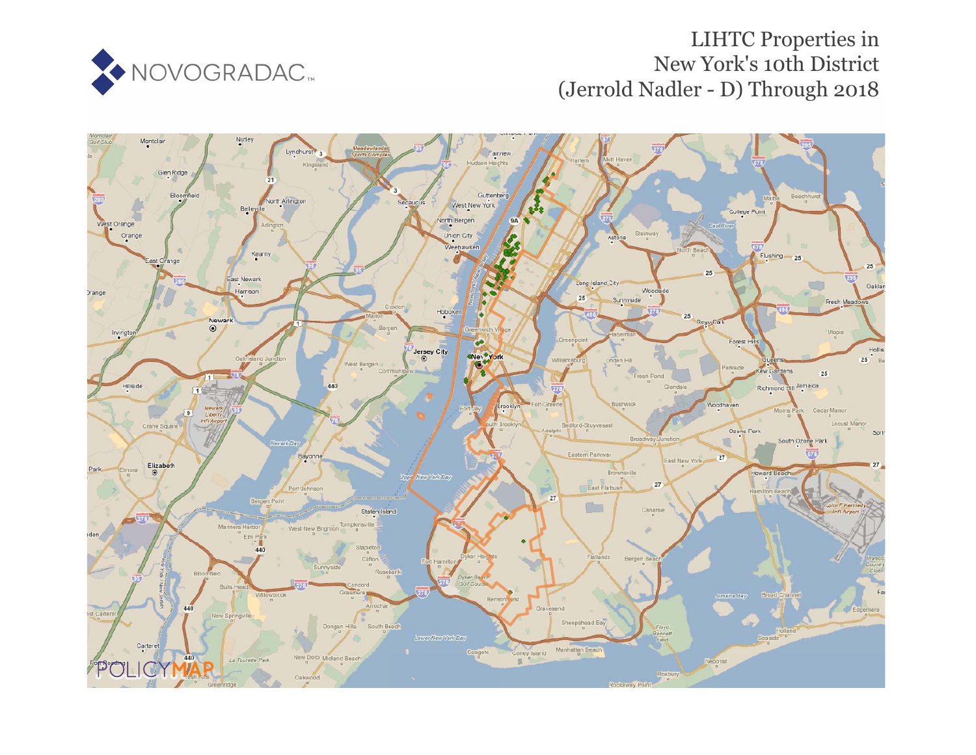

# LIHTC Properties in New York's 10th District (Jerrold Nadler - D) Through 2018

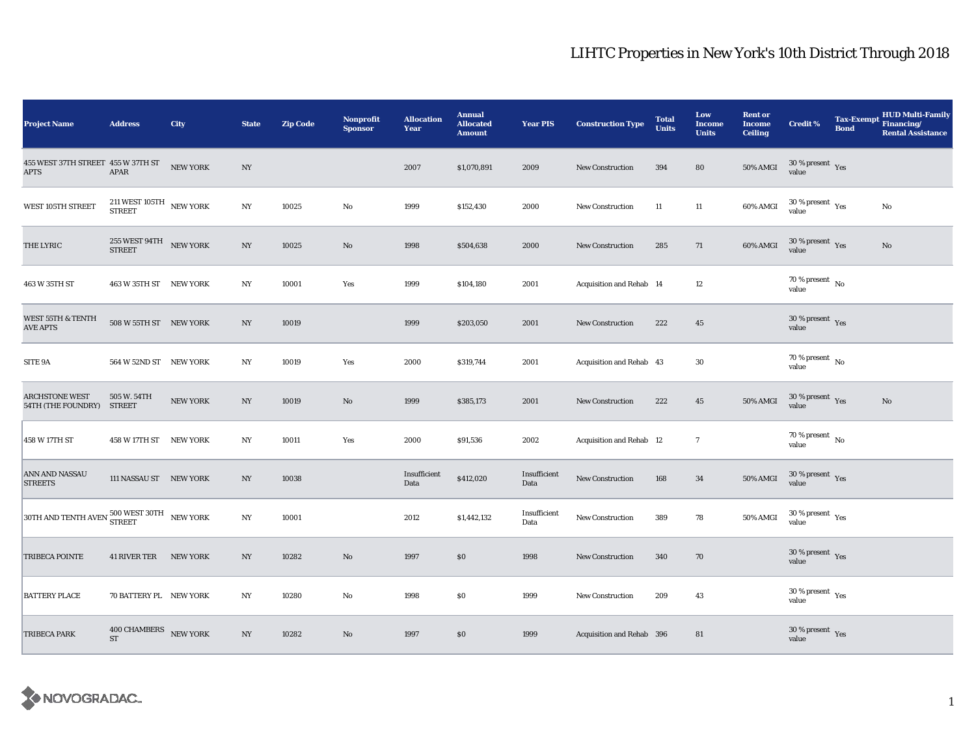| <b>Project Name</b>                                                               | <b>Address</b>                                                       | City            | <b>State</b>     | <b>Zip Code</b> | <b>Nonprofit</b><br><b>Sponsor</b> | <b>Allocation</b><br>Year | <b>Annual</b><br><b>Allocated</b><br><b>Amount</b> | <b>Year PIS</b>      | <b>Construction Type</b>  | <b>Total</b><br><b>Units</b> | Low<br><b>Income</b><br><b>Units</b> | <b>Rent or</b><br><b>Income</b><br><b>Ceiling</b> | <b>Credit %</b>                                       | <b>Tax-Exempt</b><br><b>Bond</b> | <b>HUD Multi-Family</b><br>Financing/<br><b>Rental Assistance</b> |
|-----------------------------------------------------------------------------------|----------------------------------------------------------------------|-----------------|------------------|-----------------|------------------------------------|---------------------------|----------------------------------------------------|----------------------|---------------------------|------------------------------|--------------------------------------|---------------------------------------------------|-------------------------------------------------------|----------------------------------|-------------------------------------------------------------------|
| 455 WEST 37TH STREET 455 W 37TH ST<br>APTS                                        | APAR                                                                 | NEW YORK        | NY               |                 |                                    | 2007                      | \$1,070,891                                        | 2009                 | <b>New Construction</b>   | 394                          | 80                                   | <b>50% AMGI</b>                                   | $30\,\%$ present $\,$ Yes value                       |                                  |                                                                   |
| WEST 105TH STREET                                                                 | $211\,\mathrm{WEST}$ $105\mathrm{TH}$ $$\phantom{1}$ NEW YORK STREET |                 | NY               | 10025           | No                                 | 1999                      | \$152,430                                          | 2000                 | New Construction          | 11                           | 11                                   | 60% AMGI                                          | $30\,\%$ present $\,$ $\rm Yes$<br>value              |                                  | No                                                                |
| THE LYRIC                                                                         | $255\ \mathrm{WEST\ 94TH}\ \overline{\phantom{X}}$ NEW YORK STREET   |                 | NY               | 10025           | No                                 | 1998                      | \$504,638                                          | 2000                 | <b>New Construction</b>   | 285                          | 71                                   | 60% AMGI                                          | $30\,\%$ present $\,$ Yes<br>value                    |                                  | No                                                                |
| 463 W 35TH ST                                                                     | 463 W 35TH ST NEW YORK                                               |                 | NY               | 10001           | Yes                                | 1999                      | \$104,180                                          | 2001                 | Acquisition and Rehab 14  |                              | 12                                   |                                                   | 70 % present $\hbox{~No}$<br>value                    |                                  |                                                                   |
| WEST 55TH & TENTH<br><b>AVE APTS</b>                                              | 508 W 55TH ST NEW YORK                                               |                 | NY               | 10019           |                                    | 1999                      | \$203,050                                          | 2001                 | <b>New Construction</b>   | 222                          | $45\,$                               |                                                   | $30\,\%$ present $\,$ Yes value                       |                                  |                                                                   |
| SITE 9A                                                                           | 564 W 52ND ST NEW YORK                                               |                 | NY               | 10019           | Yes                                | 2000                      | \$319,744                                          | 2001                 | Acquisition and Rehab 43  |                              | $30\,$                               |                                                   | $70\,\%$ present $\,$ No value                        |                                  |                                                                   |
| <b>ARCHSTONE WEST</b><br>54TH (THE FOUNDRY) STREET                                | 505 W. 54TH                                                          | <b>NEW YORK</b> | $_{\mathrm{NY}}$ | 10019           | No                                 | 1999                      | \$385,173                                          | 2001                 | <b>New Construction</b>   | 222                          | $45\,$                               | 50% AMGI                                          | $30\,\%$ present $\,$ Yes value                       |                                  | No                                                                |
| 458 W 17TH ST                                                                     | 458 W 17TH ST NEW YORK                                               |                 | NY               | 10011           | Yes                                | 2000                      | \$91,536                                           | 2002                 | Acquisition and Rehab 12  |                              | $\tau$                               |                                                   | $70\,\%$ present $\,$ No $\,$<br>value                |                                  |                                                                   |
| ANN AND NASSAU<br><b>STREETS</b>                                                  | 111 NASSAU ST NEW YORK                                               |                 | NY               | 10038           |                                    | Insufficient<br>Data      | \$412,020                                          | Insufficient<br>Data | New Construction          | 168                          | 34                                   | 50% AMGI                                          | 30 % present Yes<br>value                             |                                  |                                                                   |
| $30\mathrm{TH}$ AND TENTH AVEN $\frac{500\mathrm{WEST}}{\mathrm{STREF}}$ NEW YORK |                                                                      |                 | NY               | 10001           |                                    | 2012                      | \$1,442,132                                        | Insufficient<br>Data | <b>New Construction</b>   | 389                          | 78                                   | 50% AMGI                                          | 30 % present $\rm\thinspace\gamma_{\rm e s}$<br>value |                                  |                                                                   |
| <b>TRIBECA POINTE</b>                                                             | <b>41 RIVER TER</b>                                                  | <b>NEW YORK</b> | NY               | 10282           | No                                 | 1997                      | \$0                                                | 1998                 | New Construction          | 340                          | 70                                   |                                                   | $30\,\%$ present $\rm\thinspace_{Yes}$<br>value       |                                  |                                                                   |
| <b>BATTERY PLACE</b>                                                              | 70 BATTERY PL NEW YORK                                               |                 | NY               | 10280           | No                                 | 1998                      | \$0                                                | 1999                 | <b>New Construction</b>   | 209                          | 43                                   |                                                   | 30 % present $\rm\thinspace\gamma_{\rm es}$<br>value  |                                  |                                                                   |
| TRIBECA PARK                                                                      | 400 CHAMBERS NEW YORK<br><b>ST</b>                                   |                 | $_{\mathrm{NY}}$ | 10282           | No                                 | 1997                      | \$0                                                | 1999                 | Acquisition and Rehab 396 |                              | 81                                   |                                                   | $30\,\%$ present $\,$ Yes value                       |                                  |                                                                   |

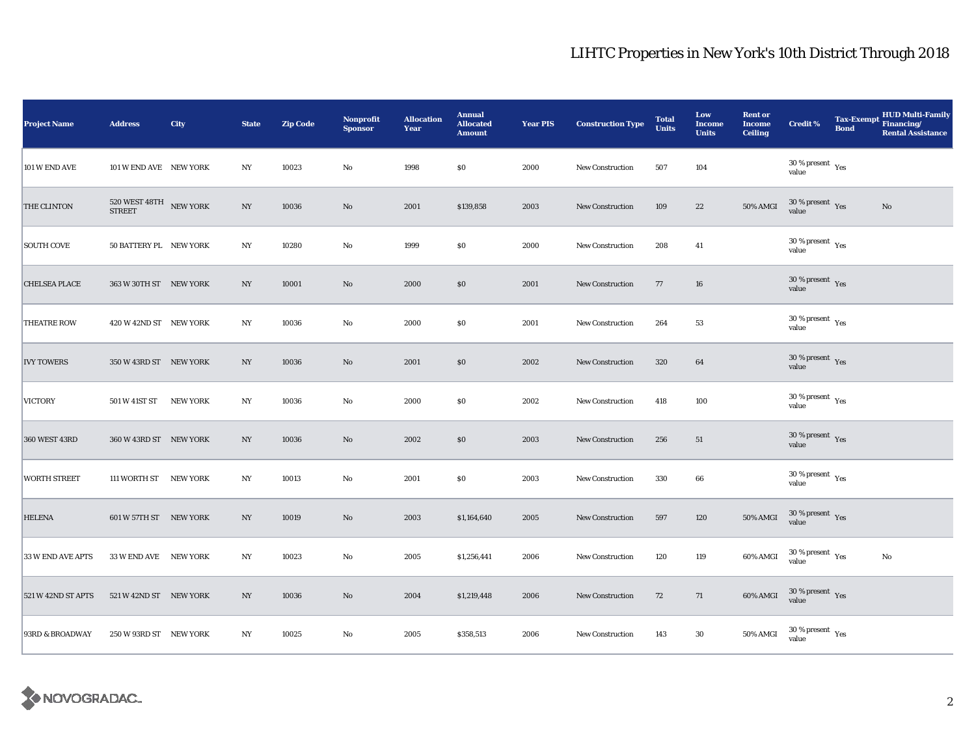| <b>Project Name</b>  | <b>Address</b>                                     | City     | <b>State</b>             | <b>Zip Code</b> | <b>Nonprofit</b><br><b>Sponsor</b> | <b>Allocation</b><br>Year | <b>Annual</b><br><b>Allocated</b><br><b>Amount</b> | <b>Year PIS</b> | <b>Construction Type</b> | <b>Total</b><br><b>Units</b> | Low<br><b>Income</b><br><b>Units</b> | <b>Rent or</b><br><b>Income</b><br><b>Ceiling</b> | <b>Credit %</b>                              | <b>Bond</b> | HUD Multi-Family<br>Tax-Exempt Financing/<br><b>Rental Assistance</b> |
|----------------------|----------------------------------------------------|----------|--------------------------|-----------------|------------------------------------|---------------------------|----------------------------------------------------|-----------------|--------------------------|------------------------------|--------------------------------------|---------------------------------------------------|----------------------------------------------|-------------|-----------------------------------------------------------------------|
| 101 W END AVE        | 101 W END AVE NEW YORK                             |          | NY                       | 10023           | No                                 | 1998                      | \$0                                                | 2000            | <b>New Construction</b>  | 507                          | 104                                  |                                                   | $30$ % present $\,$ $\rm Yes$<br>value       |             |                                                                       |
| THE CLINTON          | $520$ WEST $48\mathrm{TH}$ $$\,\,$ NEW YORK STREET |          | $_{\mathrm{NY}}$         | 10036           | $\mathbf{No}$                      | 2001                      | \$139,858                                          | 2003            | New Construction         | 109                          | $\bf{22}$                            | 50% AMGI                                          | $30$ % present $\,$ $\rm Yes$<br>value       |             | $\mathbf{N}\mathbf{o}$                                                |
| <b>SOUTH COVE</b>    | 50 BATTERY PL NEW YORK                             |          | NY                       | 10280           | No                                 | 1999                      | \$0                                                | 2000            | New Construction         | 208                          | 41                                   |                                                   | $30\,\%$ present $\,$ $\rm Yes$<br>value     |             |                                                                       |
| <b>CHELSEA PLACE</b> | 363 W 30TH ST NEW YORK                             |          | $_{\mathrm{NY}}$         | 10001           | $\rm No$                           | 2000                      | \$0                                                | 2001            | New Construction         | 77                           | 16                                   |                                                   | $30\,\%$ present $\,$ Yes value              |             |                                                                       |
| <b>THEATRE ROW</b>   | 420 W 42ND ST NEW YORK                             |          | $_{\mathrm{NY}}$         | 10036           | No                                 | 2000                      | \$0                                                | 2001            | New Construction         | 264                          | 53                                   |                                                   | $30\,\%$ present $\,$ Yes value              |             |                                                                       |
| <b>IVY TOWERS</b>    | 350 W 43RD ST NEW YORK                             |          | NY                       | 10036           | $\rm No$                           | 2001                      | \$0                                                | 2002            | <b>New Construction</b>  | 320                          | 64                                   |                                                   | $30\,\%$ present $\,$ Yes value              |             |                                                                       |
| <b>VICTORY</b>       | 501 W 41ST ST                                      | NEW YORK | $_{\mathrm{NY}}$         | 10036           | $\rm No$                           | 2000                      | \$0                                                | 2002            | New Construction         | 418                          | 100                                  |                                                   | $30\,\%$ present $\,$ Yes value              |             |                                                                       |
| 360 WEST 43RD        | 360 W 43RD ST NEW YORK                             |          | $_{\mathrm{NY}}$         | 10036           | $\rm No$                           | 2002                      | \$0                                                | 2003            | <b>New Construction</b>  | 256                          | 51                                   |                                                   | $30\,\%$ present $\,$ Yes value              |             |                                                                       |
| <b>WORTH STREET</b>  | 111 WORTH ST NEW YORK                              |          | NY                       | 10013           | $\rm No$                           | 2001                      | \$0                                                | 2003            | New Construction         | 330                          | 66                                   |                                                   | $30$ % present $\rm\thinspace\,Yes$<br>value |             |                                                                       |
| <b>HELENA</b>        | 601 W 57TH ST NEW YORK                             |          | $_{\mathrm{NY}}$         | 10019           | $\mathbf{No}$                      | 2003                      | \$1,164,640                                        | 2005            | New Construction         | 597                          | 120                                  | 50% AMGI                                          | 30 % present $\,$ $\rm Yes$<br>value         |             |                                                                       |
| 33 W END AVE APTS    | 33 W END AVE NEW YORK                              |          | NY                       | 10023           | $\rm No$                           | 2005                      | \$1,256,441                                        | 2006            | <b>New Construction</b>  | 120                          | 119                                  | 60% AMGI                                          | $30\,\%$ present $\,$ Yes value              |             | No                                                                    |
| 521 W 42ND ST APTS   | 521 W 42ND ST NEW YORK                             |          | $\ensuremath{\text{NY}}$ | 10036           | $\mathbf{N}\mathbf{o}$             | 2004                      | \$1,219,448                                        | 2006            | New Construction         | 72                           | 71                                   | 60% AMGI                                          | $30\,\%$ present $\,$ Yes value              |             |                                                                       |
| 93RD & BROADWAY      | 250 W 93RD ST NEW YORK                             |          | NY                       | 10025           | No                                 | 2005                      | \$358,513                                          | 2006            | New Construction         | 143                          | $30\,$                               | 50% AMGI                                          | $30\,\%$ present $\,$ Yes value              |             |                                                                       |

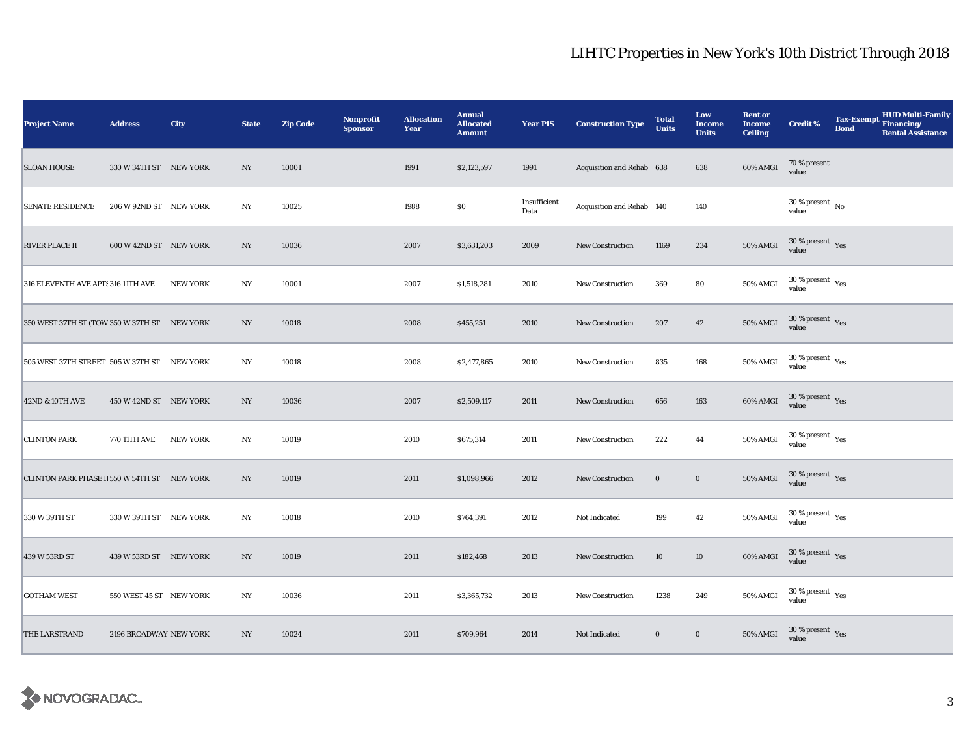| <b>Project Name</b>                          | <b>Address</b>          | City            | <b>State</b>     | <b>Zip Code</b> | <b>Nonprofit</b><br><b>Sponsor</b> | <b>Allocation</b><br>Year | <b>Annual</b><br><b>Allocated</b><br><b>Amount</b> | <b>Year PIS</b>      | <b>Construction Type</b>  | <b>Total</b><br><b>Units</b> | Low<br><b>Income</b><br><b>Units</b> | <b>Rent or</b><br><b>Income</b><br><b>Ceiling</b> | <b>Credit %</b>                              | <b>HUD Multi-Family</b><br><b>Tax-Exempt</b><br>Financing/<br><b>Bond</b><br><b>Rental Assistance</b> |
|----------------------------------------------|-------------------------|-----------------|------------------|-----------------|------------------------------------|---------------------------|----------------------------------------------------|----------------------|---------------------------|------------------------------|--------------------------------------|---------------------------------------------------|----------------------------------------------|-------------------------------------------------------------------------------------------------------|
| <b>SLOAN HOUSE</b>                           | 330 W 34TH ST NEW YORK  |                 | NY               | 10001           |                                    | 1991                      | \$2,123,597                                        | 1991                 | Acquisition and Rehab 638 |                              | 638                                  | 60% AMGI                                          | 70 % present<br>value                        |                                                                                                       |
| <b>SENATE RESIDENCE</b>                      | 206 W 92ND ST NEW YORK  |                 | NY               | 10025           |                                    | 1988                      | $\$0$                                              | Insufficient<br>Data | Acquisition and Rehab 140 |                              | 140                                  |                                                   | $30\,\%$ present $\,$ No $\,$<br>value       |                                                                                                       |
| <b>RIVER PLACE II</b>                        | 600 W 42ND ST NEW YORK  |                 | NY               | 10036           |                                    | 2007                      | \$3,631,203                                        | 2009                 | New Construction          | 1169                         | 234                                  | 50% AMGI                                          | $30\,\%$ present $\,$ Yes value              |                                                                                                       |
| 316 ELEVENTH AVE APT: 316 11TH AVE           |                         | <b>NEW YORK</b> | NY               | 10001           |                                    | 2007                      | \$1,518,281                                        | 2010                 | <b>New Construction</b>   | 369                          | 80                                   | 50% AMGI                                          | $30$ % present $\rm\thinspace\,Yes$<br>value |                                                                                                       |
| 350 WEST 37TH ST (TOW 350 W 37TH ST NEW YORK |                         |                 | NY               | 10018           |                                    | 2008                      | \$455,251                                          | 2010                 | New Construction          | 207                          | 42                                   | 50% AMGI                                          | $30$ % present $\,$ $\rm Yes$<br>value       |                                                                                                       |
| 505 WEST 37TH STREET 505 W 37TH ST NEW YORK  |                         |                 | $_{\mathrm{NY}}$ | 10018           |                                    | 2008                      | \$2,477,865                                        | 2010                 | <b>New Construction</b>   | 835                          | 168                                  | 50% AMGI                                          | $30\,\%$ present $\,$ Yes value              |                                                                                                       |
| 42ND & 10TH AVE                              | 450 W 42ND ST NEW YORK  |                 | NY               | 10036           |                                    | 2007                      | \$2,509,117                                        | 2011                 | <b>New Construction</b>   | 656                          | 163                                  | 60% AMGI                                          | $30\,\%$ present $\,$ Yes value              |                                                                                                       |
| <b>CLINTON PARK</b>                          | <b>770 11TH AVE</b>     | <b>NEW YORK</b> | NY               | 10019           |                                    | 2010                      | \$675,314                                          | 2011                 | New Construction          | 222                          | 44                                   | 50% AMGI                                          | $30\,\%$ present $\,$ Yes value              |                                                                                                       |
| CLINTON PARK PHASE II 550 W 54TH ST NEW YORK |                         |                 | NY               | 10019           |                                    | 2011                      | \$1,098,966                                        | 2012                 | New Construction          | $\bf{0}$                     | $\mathbf 0$                          | 50% AMGI                                          | $30\,\%$ present $\,$ Yes<br>value           |                                                                                                       |
| 330 W 39TH ST                                | 330 W 39TH ST NEW YORK  |                 | NY               | 10018           |                                    | 2010                      | \$764,391                                          | 2012                 | Not Indicated             | 199                          | 42                                   | 50% AMGI                                          | $30$ % present $\rm\thinspace\,Yes$<br>value |                                                                                                       |
| 439 W 53RD ST                                | 439 W 53RD ST NEW YORK  |                 | NY               | 10019           |                                    | 2011                      | \$182,468                                          | 2013                 | <b>New Construction</b>   | 10                           | 10                                   | 60% AMGI                                          | $30\,\%$ present $\,$ $\rm Yes$<br>value     |                                                                                                       |
| <b>GOTHAM WEST</b>                           | 550 WEST 45 ST NEW YORK |                 | $_{\mathrm{NY}}$ | 10036           |                                    | 2011                      | \$3,365,732                                        | 2013                 | <b>New Construction</b>   | 1238                         | 249                                  | 50% AMGI                                          | $30\,\%$ present $\,$ Yes value              |                                                                                                       |
| THE LARSTRAND                                | 2196 BROADWAY NEW YORK  |                 | NY               | 10024           |                                    | 2011                      | \$709,964                                          | 2014                 | Not Indicated             | $\bf{0}$                     | $\bf{0}$                             | 50% AMGI                                          | $30\,\%$ present $\,$ Yes value              |                                                                                                       |

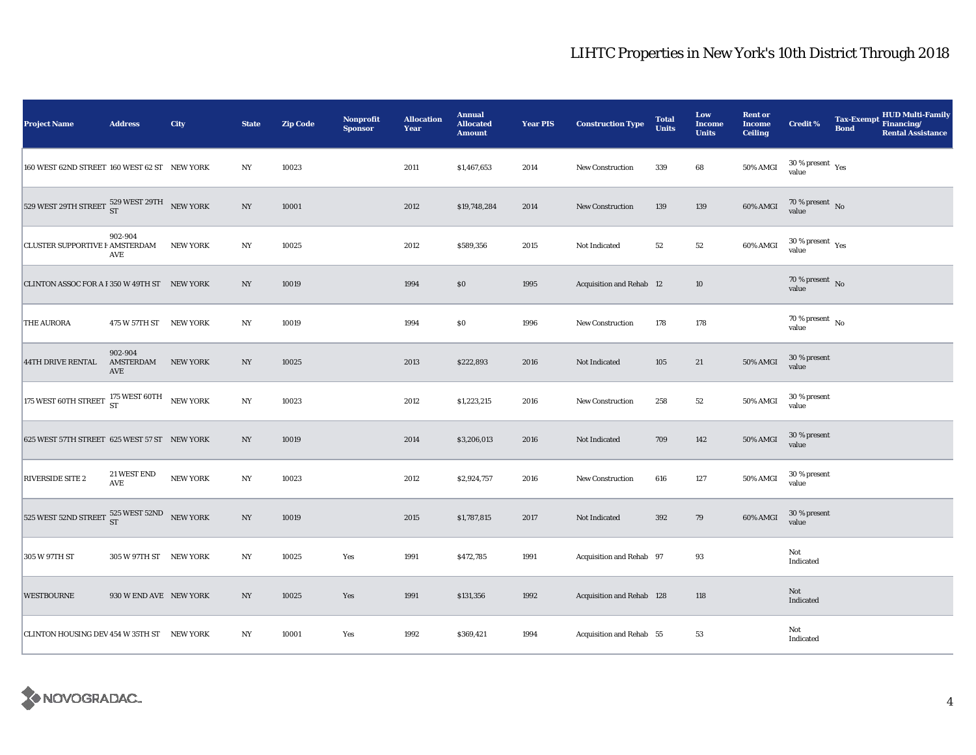| <b>Project Name</b>                                                                                  | <b>Address</b>              | City            | <b>State</b>     | <b>Zip Code</b> | <b>Nonprofit</b><br><b>Sponsor</b> | <b>Allocation</b><br>Year | <b>Annual</b><br><b>Allocated</b><br><b>Amount</b> | <b>Year PIS</b> | <b>Construction Type</b>  | <b>Total</b><br><b>Units</b> | Low<br><b>Income</b><br><b>Units</b> | <b>Rent or</b><br><b>Income</b><br><b>Ceiling</b> | <b>Credit %</b>                              | <b>Bond</b> | <b>HUD Multi-Family</b><br>Tax-Exempt Financing/<br><b>Rental Assistance</b> |
|------------------------------------------------------------------------------------------------------|-----------------------------|-----------------|------------------|-----------------|------------------------------------|---------------------------|----------------------------------------------------|-----------------|---------------------------|------------------------------|--------------------------------------|---------------------------------------------------|----------------------------------------------|-------------|------------------------------------------------------------------------------|
| 160 WEST 62ND STREET 160 WEST 62 ST NEW YORK                                                         |                             |                 | NY               | 10023           |                                    | 2011                      | \$1,467,653                                        | 2014            | New Construction          | 339                          | 68                                   | 50% AMGI                                          | $30\,\%$ present $\,$ Yes value              |             |                                                                              |
| 529 WEST 29TH STREET $\begin{array}{cc} 529 \text{ WEST } 29\text{TH} & \text{NEW YORK} \end{array}$ |                             |                 | $_{\mathrm{NY}}$ | 10001           |                                    | 2012                      | \$19,748,284                                       | 2014            | <b>New Construction</b>   | 139                          | 139                                  | 60% AMGI                                          | $70\%$ present No<br>value                   |             |                                                                              |
| CLUSTER SUPPORTIVE F AMSTERDAM                                                                       | 902-904<br>AVE              | <b>NEW YORK</b> | NY               | 10025           |                                    | 2012                      | \$589,356                                          | 2015            | Not Indicated             | 52                           | $52\,$                               | 60% AMGI                                          | $30$ % present $\rm\thinspace\,Yes$<br>value |             |                                                                              |
| CLINTON ASSOC FOR A F 350 W 49TH ST NEW YORK                                                         |                             |                 | N <sub>Y</sub>   | 10019           |                                    | 1994                      | $\$0$                                              | 1995            | Acquisition and Rehab 12  |                              | $10\,$                               |                                                   | $70\,\%$ present $\,$ No value               |             |                                                                              |
| THE AURORA                                                                                           | 475 W 57TH ST NEW YORK      |                 | $_{\mathrm{NY}}$ | 10019           |                                    | 1994                      | \$0                                                | 1996            | <b>New Construction</b>   | 178                          | 178                                  |                                                   | $70\,\%$ present $\,$ No value               |             |                                                                              |
| <b>44TH DRIVE RENTAL</b>                                                                             | 902-904<br>AMSTERDAM<br>AVE | <b>NEW YORK</b> | $_{\mathrm{NY}}$ | 10025           |                                    | 2013                      | \$222,893                                          | 2016            | Not Indicated             | 105                          | $21\,$                               | 50% AMGI                                          | 30 % present<br>value                        |             |                                                                              |
| 175 WEST 60TH STREET $^{175}_{ST}$ WEST 60TH NEW YORK                                                |                             |                 | $_{\mathrm{NY}}$ | 10023           |                                    | 2012                      | \$1,223,215                                        | 2016            | <b>New Construction</b>   | 258                          | $52\,$                               | <b>50% AMGI</b>                                   | 30 % present<br>value                        |             |                                                                              |
| 625 WEST 57TH STREET 625 WEST 57 ST NEW YORK                                                         |                             |                 | $_{\mathrm{NY}}$ | 10019           |                                    | 2014                      | \$3,206,013                                        | 2016            | Not Indicated             | 709                          | 142                                  | <b>50% AMGI</b>                                   | 30 % present<br>value                        |             |                                                                              |
| RIVERSIDE SITE 2                                                                                     | 21 WEST END<br>AVE          | <b>NEW YORK</b> | NY               | 10023           |                                    | 2012                      | \$2,924,757                                        | 2016            | <b>New Construction</b>   | 616                          | 127                                  | <b>50% AMGI</b>                                   | 30 % present<br>value                        |             |                                                                              |
| 525 WEST 52ND STREET $\frac{525}{ST}$ WEST 52ND NEW YORK                                             |                             |                 | $_{\mathrm{NY}}$ | 10019           |                                    | 2015                      | \$1,787,815                                        | 2017            | Not Indicated             | 392                          | 79                                   | 60% AMGI                                          | 30 % present<br>value                        |             |                                                                              |
| 305 W 97TH ST                                                                                        | 305 W 97TH ST NEW YORK      |                 | NY               | 10025           | Yes                                | 1991                      | \$472,785                                          | 1991            | Acquisition and Rehab 97  |                              | 93                                   |                                                   | Not<br>Indicated                             |             |                                                                              |
| <b>WESTBOURNE</b>                                                                                    | 930 W END AVE NEW YORK      |                 | $_{\mathrm{NY}}$ | 10025           | Yes                                | 1991                      | \$131,356                                          | 1992            | Acquisition and Rehab 128 |                              | 118                                  |                                                   | Not<br>Indicated                             |             |                                                                              |
| CLINTON HOUSING DEV 454 W 35TH ST NEW YORK                                                           |                             |                 | NY               | 10001           | Yes                                | 1992                      | \$369,421                                          | 1994            | Acquisition and Rehab 55  |                              | 53                                   |                                                   | Not<br>Indicated                             |             |                                                                              |

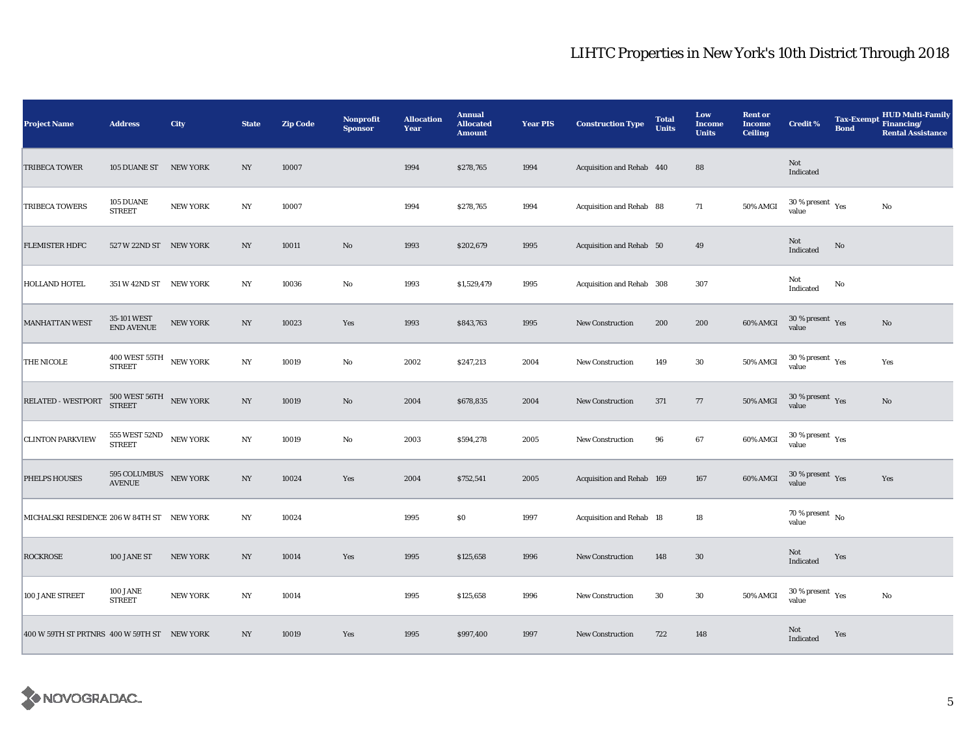| <b>Project Name</b>                         | <b>Address</b>                                           | City            | <b>State</b>     | <b>Zip Code</b> | <b>Nonprofit</b><br><b>Sponsor</b> | <b>Allocation</b><br>Year | <b>Annual</b><br><b>Allocated</b><br><b>Amount</b> | <b>Year PIS</b> | <b>Construction Type</b>  | <b>Total</b><br><b>Units</b> | Low<br><b>Income</b><br><b>Units</b> | <b>Rent or</b><br><b>Income</b><br><b>Ceiling</b> | <b>Credit %</b>                              | <b>Tax-Exempt</b><br><b>Bond</b> | <b>HUD Multi-Family</b><br>Financing/<br><b>Rental Assistance</b> |
|---------------------------------------------|----------------------------------------------------------|-----------------|------------------|-----------------|------------------------------------|---------------------------|----------------------------------------------------|-----------------|---------------------------|------------------------------|--------------------------------------|---------------------------------------------------|----------------------------------------------|----------------------------------|-------------------------------------------------------------------|
| <b>TRIBECA TOWER</b>                        | 105 DUANE ST NEW YORK                                    |                 | NY               | 10007           |                                    | 1994                      | \$278,765                                          | 1994            | Acquisition and Rehab 440 |                              | 88                                   |                                                   | Not<br>Indicated                             |                                  |                                                                   |
| <b>TRIBECA TOWERS</b>                       | 105 DUANE<br><b>STREET</b>                               | <b>NEW YORK</b> | NY               | 10007           |                                    | 1994                      | \$278,765                                          | 1994            | Acquisition and Rehab 88  |                              | 71                                   | 50% AMGI                                          | $30\,\%$ present $\,$ $\rm Yes$<br>value     |                                  | No                                                                |
| <b>FLEMISTER HDFC</b>                       | 527 W 22ND ST NEW YORK                                   |                 | NY               | 10011           | $\rm No$                           | 1993                      | \$202,679                                          | 1995            | Acquisition and Rehab 50  |                              | 49                                   |                                                   | Not<br>Indicated                             | No                               |                                                                   |
| <b>HOLLAND HOTEL</b>                        | 351 W 42ND ST NEW YORK                                   |                 | NY               | 10036           | No                                 | 1993                      | \$1,529,479                                        | 1995            | Acquisition and Rehab 308 |                              | 307                                  |                                                   | Not<br>Indicated                             | No                               |                                                                   |
| <b>MANHATTAN WEST</b>                       | 35-101 WEST<br>END AVENUE                                | NEW YORK        | $_{\mathrm{NY}}$ | 10023           | Yes                                | 1993                      | \$843,763                                          | 1995            | <b>New Construction</b>   | 200                          | 200                                  | 60% AMGI                                          | $30\,\%$ present $\,$ Yes value              |                                  | No                                                                |
| THE NICOLE                                  | $400$ WEST $55 \mathrm{TH}$ $$\,\,$ NEW YORK STREET      |                 | $_{\mathrm{NY}}$ | 10019           | $\rm No$                           | 2002                      | \$247,213                                          | 2004            | <b>New Construction</b>   | 149                          | $30\,$                               | 50% AMGI                                          | $30\,\%$ present $\,$ Yes value              |                                  | Yes                                                               |
| RELATED - WESTPORT                          | $500$ WEST $56\mathrm{TH}$ $$\,\mathrm{NEW}$ YORK STREET |                 | $_{\mathrm{NY}}$ | 10019           | No                                 | 2004                      | \$678,835                                          | 2004            | New Construction          | 371                          | 77                                   | 50% AMGI                                          | $30\,\%$ present $\,$ Yes value              |                                  | No                                                                |
| <b>CLINTON PARKVIEW</b>                     | <b>555 WEST 52ND</b><br><b>STREET</b>                    | NEW YORK        | NY               | 10019           | $\rm No$                           | 2003                      | \$594,278                                          | 2005            | New Construction          | 96                           | 67                                   | 60% AMGI                                          | $30$ % present $\rm\thinspace\,Yes$<br>value |                                  |                                                                   |
| PHELPS HOUSES                               | $595$ COLUMBUS $$\,{\rm NEW\,YORK}$$ AVENUE              |                 | $_{\mathrm{NY}}$ | 10024           | Yes                                | 2004                      | \$752,541                                          | 2005            | Acquisition and Rehab 169 |                              | 167                                  | 60% AMGI                                          | $30\,\%$ present $\,$ Yes value              |                                  | Yes                                                               |
| MICHALSKI RESIDENCE 206 W 84TH ST NEW YORK  |                                                          |                 | NY               | 10024           |                                    | 1995                      | \$0                                                | 1997            | Acquisition and Rehab 18  |                              | 18                                   |                                                   | 70 % present $\hbox{~No}$<br>value           |                                  |                                                                   |
| <b>ROCKROSE</b>                             | 100 JANE ST                                              | <b>NEW YORK</b> | NY               | 10014           | Yes                                | 1995                      | \$125,658                                          | 1996            | <b>New Construction</b>   | 148                          | $30\,$                               |                                                   | <b>Not</b><br>Indicated                      | Yes                              |                                                                   |
| 100 JANE STREET                             | 100 JANE<br><b>STREET</b>                                | <b>NEW YORK</b> | $_{\mathrm{NY}}$ | 10014           |                                    | 1995                      | \$125,658                                          | 1996            | New Construction          | 30                           | $30\,$                               | 50% AMGI                                          | $30$ % present $\rm\thinspace\,Yes$<br>value |                                  | No                                                                |
| 400 W 59TH ST PRTNRS 400 W 59TH ST NEW YORK |                                                          |                 | NY               | 10019           | Yes                                | 1995                      | \$997,400                                          | 1997            | New Construction          | 722                          | 148                                  |                                                   | Not<br>Indicated                             | Yes                              |                                                                   |

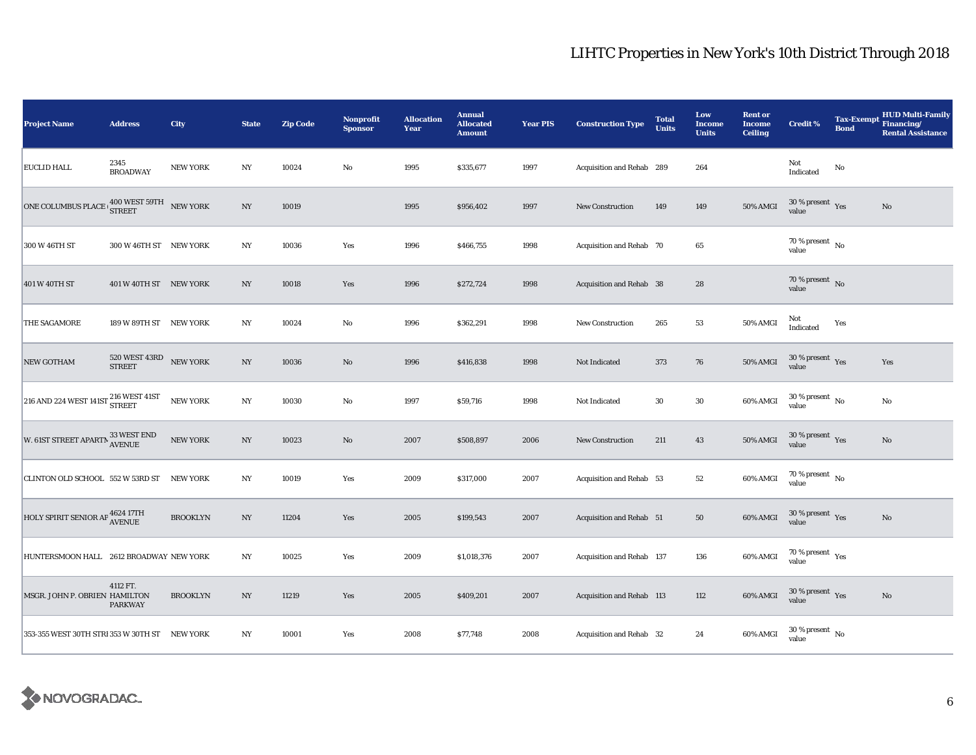| <b>Project Name</b>                                  | <b>Address</b>                                     | City            | <b>State</b>     | <b>Zip Code</b> | <b>Nonprofit</b><br><b>Sponsor</b> | <b>Allocation</b><br>Year | <b>Annual</b><br><b>Allocated</b><br><b>Amount</b> | <b>Year PIS</b> | <b>Construction Type</b>  | <b>Total</b><br><b>Units</b> | Low<br><b>Income</b><br><b>Units</b> | <b>Rent or</b><br><b>Income</b><br><b>Ceiling</b> | <b>Credit %</b>                             | Tax-Exempt Financing/<br><b>Bond</b> | <b>HUD Multi-Family</b><br><b>Rental Assistance</b> |
|------------------------------------------------------|----------------------------------------------------|-----------------|------------------|-----------------|------------------------------------|---------------------------|----------------------------------------------------|-----------------|---------------------------|------------------------------|--------------------------------------|---------------------------------------------------|---------------------------------------------|--------------------------------------|-----------------------------------------------------|
| <b>EUCLID HALL</b>                                   | 2345<br><b>BROADWAY</b>                            | <b>NEW YORK</b> | $_{\mathrm{NY}}$ | 10024           | No                                 | 1995                      | \$335,677                                          | 1997            | Acquisition and Rehab 289 |                              | 264                                  |                                                   | Not<br>Indicated                            | No                                   |                                                     |
| <b>ONE COLUMBUS PLACE</b>                            | $400$ WEST $59\mathrm{TH}$ $$\,\,$ NEW YORK STREET |                 | $_{\mathrm{NY}}$ | 10019           |                                    | 1995                      | \$956,402                                          | 1997            | <b>New Construction</b>   | 149                          | 149                                  | 50% AMGI                                          | $30\,\%$ present $\,$ Yes<br>value          |                                      | No                                                  |
| 300 W 46TH ST                                        | 300 W 46TH ST NEW YORK                             |                 | NY               | 10036           | Yes                                | 1996                      | \$466,755                                          | 1998            | Acquisition and Rehab 70  |                              | 65                                   |                                                   | 70 % present $\hbox{~No}$<br>value          |                                      |                                                     |
| 401 W 40TH ST                                        | 401 W 40TH ST NEW YORK                             |                 | $_{\mathrm{NY}}$ | 10018           | Yes                                | 1996                      | \$272,724                                          | 1998            | Acquisition and Rehab 38  |                              | ${\bf 28}$                           |                                                   | 70 % present $\,$ No $\,$<br>value          |                                      |                                                     |
| THE SAGAMORE                                         | 189 W 89TH ST NEW YORK                             |                 | NY               | 10024           | No                                 | 1996                      | \$362,291                                          | 1998            | <b>New Construction</b>   | 265                          | 53                                   | 50% AMGI                                          | Not<br>Indicated                            | Yes                                  |                                                     |
| NEW GOTHAM                                           | $520$ WEST $43\mathrm{RD}$ $$\,$ NEW YORK STREET   |                 | $_{\mathrm{NY}}$ | 10036           | $\mathbf{N}\mathbf{o}$             | 1996                      | \$416,838                                          | 1998            | Not Indicated             | 373                          | ${\bf 76}$                           | 50% AMGI                                          | $30\,\%$ present $\,$ Yes value             |                                      | Yes                                                 |
| $216$ AND 224 WEST 141ST $\frac{216}{\text{STREET}}$ |                                                    | <b>NEW YORK</b> | $_{\mathrm{NY}}$ | 10030           | No                                 | 1997                      | \$59,716                                           | 1998            | Not Indicated             | $30\,$                       | $30\,$                               | 60% AMGI                                          | $30$ % present $\,$ No $\,$<br>value        |                                      | No                                                  |
| W. 61ST STREET APARTN $^{33}_{\Lambda \rm VENUE}$    |                                                    | NEW YORK        | $_{\mathrm{NY}}$ | 10023           | $\rm No$                           | 2007                      | \$508,897                                          | 2006            | <b>New Construction</b>   | 211                          | 43                                   | 50% AMGI                                          | $30\,\%$ present $\,$ Yes<br>value          |                                      | $\mathbf{N}\mathbf{o}$                              |
| CLINTON OLD SCHOOL 552 W 53RD ST NEW YORK            |                                                    |                 | NY               | 10019           | Yes                                | 2009                      | \$317,000                                          | 2007            | Acquisition and Rehab 53  |                              | $^{\rm 52}$                          | 60% AMGI                                          | $70$ % present $\,$ No $\,$<br>value        |                                      |                                                     |
| HOLY SPIRIT SENIOR AP <sup>4624 17TH</sup>           |                                                    | <b>BROOKLYN</b> | $_{\mathrm{NY}}$ | 11204           | Yes                                | 2005                      | \$199,543                                          | 2007            | Acquisition and Rehab 51  |                              | ${\bf 50}$                           | 60% AMGI                                          | $30\,\%$ present $\,$ Yes value             |                                      | $\mathbf{N}\mathbf{o}$                              |
| HUNTERSMOON HALL 2612 BROADWAY NEW YORK              |                                                    |                 | NY               | 10025           | Yes                                | 2009                      | \$1,018,376                                        | 2007            | Acquisition and Rehab 137 |                              | 136                                  | 60% AMGI                                          | 70 % present $\rm\thinspace_{Yes}$<br>value |                                      |                                                     |
| MSGR. JOHN P. OBRIEN HAMILTON                        | 4112 FT.<br><b>PARKWAY</b>                         | <b>BROOKLYN</b> | $_{\mathrm{NY}}$ | 11219           | Yes                                | 2005                      | \$409,201                                          | 2007            | Acquisition and Rehab 113 |                              | 112                                  | 60% AMGI                                          | $30\,\%$ present $\,$ Yes value             |                                      | $\mathbf{N}\mathbf{o}$                              |
| 353-355 WEST 30TH STRI 353 W 30TH ST NEW YORK        |                                                    |                 | NY               | 10001           | Yes                                | 2008                      | \$77,748                                           | 2008            | Acquisition and Rehab 32  |                              | 24                                   | 60% AMGI                                          | $30\,\%$ present $\,$ No value              |                                      |                                                     |

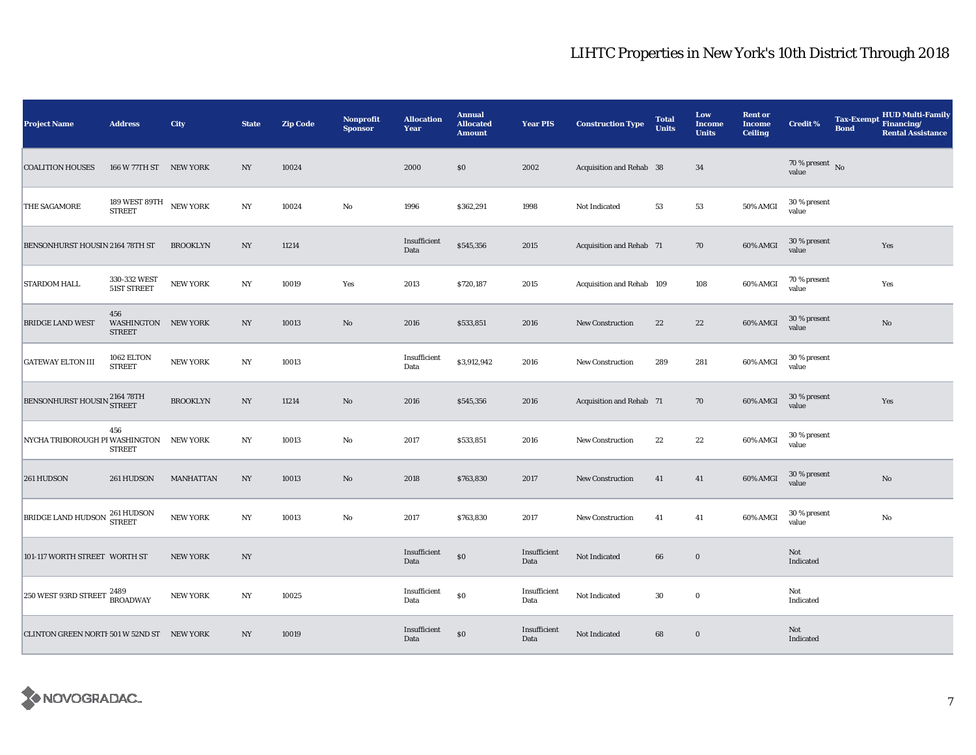| <b>Project Name</b>                        | <b>Address</b>                              | <b>City</b>      | <b>State</b>     | <b>Zip Code</b> | <b>Nonprofit</b><br><b>Sponsor</b> | <b>Allocation</b><br>Year | <b>Annual</b><br><b>Allocated</b><br><b>Amount</b> | <b>Year PIS</b>      | <b>Construction Type</b>  | <b>Total</b><br><b>Units</b> | Low<br><b>Income</b><br><b>Units</b> | <b>Rent or</b><br><b>Income</b><br><b>Ceiling</b> | <b>Credit %</b>                    | <b>Tax-Exempt</b><br><b>Bond</b> | <b>HUD Multi-Family</b><br>Financing/<br><b>Rental Assistance</b> |
|--------------------------------------------|---------------------------------------------|------------------|------------------|-----------------|------------------------------------|---------------------------|----------------------------------------------------|----------------------|---------------------------|------------------------------|--------------------------------------|---------------------------------------------------|------------------------------------|----------------------------------|-------------------------------------------------------------------|
| <b>COALITION HOUSES</b>                    | 166 W 77TH ST NEW YORK                      |                  | NY               | 10024           |                                    | 2000                      | \$0                                                | 2002                 | Acquisition and Rehab 38  |                              | 34                                   |                                                   | 70 % present $\,$ No $\,$<br>value |                                  |                                                                   |
| THE SAGAMORE                               | 189 WEST 89TH NEW YORK<br><b>STREET</b>     |                  | $_{\mathrm{NY}}$ | 10024           | No                                 | 1996                      | \$362,291                                          | 1998                 | Not Indicated             | 53                           | ${\bf 53}$                           | 50% AMGI                                          | 30 % present<br>value              |                                  |                                                                   |
| BENSONHURST HOUSIN 2164 78TH ST            |                                             | <b>BROOKLYN</b>  | NY               | 11214           |                                    | Insufficient<br>Data      | \$545,356                                          | 2015                 | Acquisition and Rehab 71  |                              | 70                                   | 60% AMGI                                          | 30 % present<br>value              |                                  | Yes                                                               |
| <b>STARDOM HALL</b>                        | 330-332 WEST<br>51ST STREET                 | <b>NEW YORK</b>  | NY               | 10019           | Yes                                | 2013                      | \$720,187                                          | 2015                 | Acquisition and Rehab 109 |                              | 108                                  | 60% AMGI                                          | 70 % present<br>value              |                                  | Yes                                                               |
| <b>BRIDGE LAND WEST</b>                    | 456<br>WASHINGTON NEW YORK<br><b>STREET</b> |                  | $_{\mathrm{NY}}$ | 10013           | $\rm No$                           | 2016                      | \$533,851                                          | 2016                 | New Construction          | 22                           | $\bf 22$                             | 60% AMGI                                          | 30 % present<br>value              |                                  | No                                                                |
| <b>GATEWAY ELTON III</b>                   | 1062 ELTON<br><b>STREET</b>                 | <b>NEW YORK</b>  | $_{\mathrm{NY}}$ | 10013           |                                    | Insufficient<br>Data      | \$3,912,942                                        | 2016                 | <b>New Construction</b>   | 289                          | 281                                  | 60% AMGI                                          | 30 % present<br>value              |                                  |                                                                   |
| BENSONHURST HOUSIN 2164 78TH               |                                             | <b>BROOKLYN</b>  | $_{\mathrm{NY}}$ | 11214           | $\rm No$                           | 2016                      | \$545,356                                          | 2016                 | Acquisition and Rehab 71  |                              | 70                                   | 60% AMGI                                          | 30 % present<br>value              |                                  | Yes                                                               |
| NYCHA TRIBOROUGH PI WASHINGTON             | 456<br><b>STREET</b>                        | <b>NEW YORK</b>  | $_{\mathrm{NY}}$ | 10013           | $\rm No$                           | 2017                      | \$533,851                                          | 2016                 | New Construction          | 22                           | $22\,$                               | 60% AMGI                                          | 30 % present<br>value              |                                  |                                                                   |
| 261 HUDSON                                 | 261 HUDSON                                  | <b>MANHATTAN</b> | NY               | 10013           | $\mathbf{N}\mathbf{o}$             | 2018                      | \$763,830                                          | 2017                 | <b>New Construction</b>   | 41                           | 41                                   | 60% AMGI                                          | 30 % present<br>value              |                                  | No                                                                |
| BRIDGE LAND HUDSON 261 HUDSON              |                                             | <b>NEW YORK</b>  | NY               | 10013           | No                                 | 2017                      | \$763,830                                          | 2017                 | New Construction          | 41                           | 41                                   | 60% AMGI                                          | 30 % present<br>value              |                                  | $\mathbf{No}$                                                     |
| 101-117 WORTH STREET WORTH ST              |                                             | <b>NEW YORK</b>  | NY               |                 |                                    | Insufficient<br>Data      | \$0                                                | Insufficient<br>Data | Not Indicated             | 66                           | $\bf{0}$                             |                                                   | Not<br>Indicated                   |                                  |                                                                   |
| 250 WEST 93RD STREET $^{2489}_{nnc}$ .     | <b>BROADWAY</b>                             | <b>NEW YORK</b>  | $_{\mathrm{NY}}$ | 10025           |                                    | Insufficient<br>Data      | $\$0$                                              | Insufficient<br>Data | Not Indicated             | 30                           | $\mathbf 0$                          |                                                   | Not<br>Indicated                   |                                  |                                                                   |
| CLINTON GREEN NORTH 501 W 52ND ST NEW YORK |                                             |                  | NY               | 10019           |                                    | Insufficient<br>Data      | \$0                                                | Insufficient<br>Data | Not Indicated             | 68                           | $\bf{0}$                             |                                                   | Not<br>Indicated                   |                                  |                                                                   |

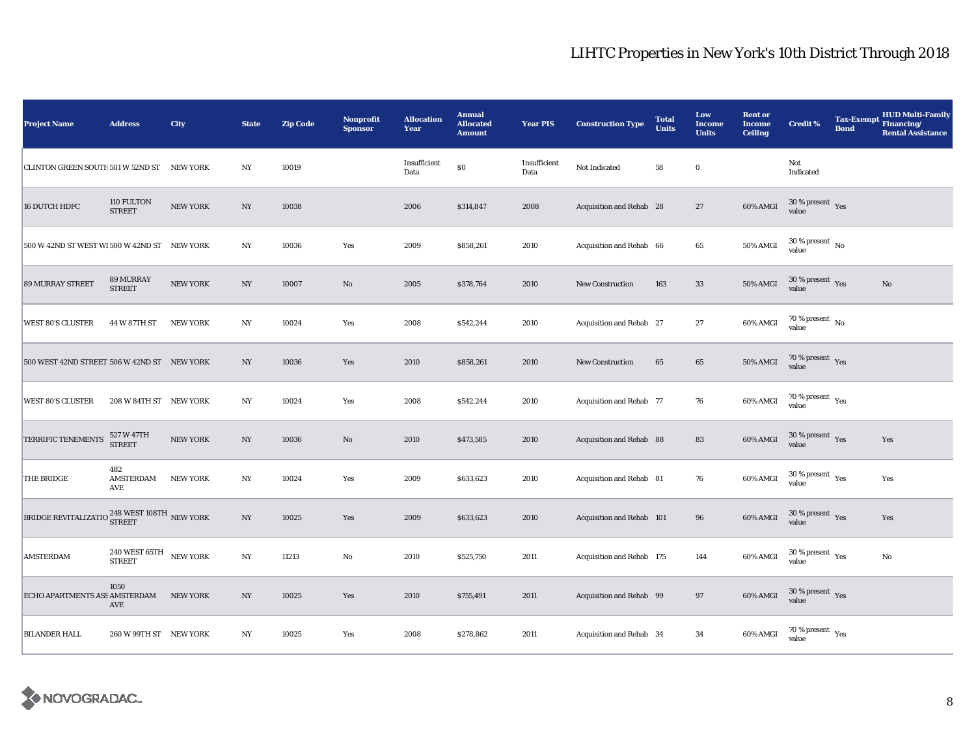| <b>Project Name</b>                                                              | <b>Address</b>                                                | City            | <b>State</b>     | <b>Zip Code</b> | <b>Nonprofit</b><br><b>Sponsor</b> | <b>Allocation</b><br>Year | <b>Annual</b><br><b>Allocated</b><br><b>Amount</b> | <b>Year PIS</b>      | <b>Construction Type</b>  | <b>Total</b><br><b>Units</b> | Low<br><b>Income</b><br><b>Units</b> | <b>Rent or</b><br><b>Income</b><br><b>Ceiling</b> | <b>Credit %</b>                                      | <b>Bond</b> | <b>HUD Multi-Family</b><br>Tax-Exempt Financing/<br><b>Rental Assistance</b> |
|----------------------------------------------------------------------------------|---------------------------------------------------------------|-----------------|------------------|-----------------|------------------------------------|---------------------------|----------------------------------------------------|----------------------|---------------------------|------------------------------|--------------------------------------|---------------------------------------------------|------------------------------------------------------|-------------|------------------------------------------------------------------------------|
| CLINTON GREEN SOUTH 501 W 52ND ST                                                |                                                               | <b>NEW YORK</b> | $_{\mathrm{NY}}$ | 10019           |                                    | Insufficient<br>Data      | \$0                                                | Insufficient<br>Data | Not Indicated             | 58                           | $\bf{0}$                             |                                                   | Not<br>Indicated                                     |             |                                                                              |
| 16 DUTCH HDFC                                                                    | 110 FULTON<br><b>STREET</b>                                   | <b>NEW YORK</b> | $_{\mathrm{NY}}$ | 10038           |                                    | 2006                      | \$314,847                                          | 2008                 | Acquisition and Rehab 28  |                              | 27                                   | 60% AMGI                                          | $30\,\%$ present $\,$ Yes<br>value                   |             |                                                                              |
| 500 W 42ND ST WEST WI 500 W 42ND ST NEW YORK                                     |                                                               |                 | NY               | 10036           | Yes                                | 2009                      | \$858,261                                          | 2010                 | Acquisition and Rehab 66  |                              | 65                                   | 50% AMGI                                          | $30$ % present $\,$ No $\,$<br>value                 |             |                                                                              |
| <b>89 MURRAY STREET</b>                                                          | <b>89 MURRAY</b><br><b>STREET</b>                             | <b>NEW YORK</b> | NY               | 10007           | $\rm No$                           | 2005                      | \$378,764                                          | 2010                 | <b>New Construction</b>   | 163                          | 33                                   | 50% AMGI                                          | $30$ % present $\,$ $\rm Yes$<br>value               |             | No                                                                           |
| <b>WEST 80'S CLUSTER</b>                                                         | 44 W 87TH ST                                                  | <b>NEW YORK</b> | $_{\mathrm{NY}}$ | 10024           | Yes                                | 2008                      | \$542,244                                          | 2010                 | Acquisition and Rehab 27  |                              | $\bf 27$                             | 60% AMGI                                          | 70 % present $\hbox{~No}$<br>value                   |             |                                                                              |
| 500 WEST 42ND STREET 506 W 42ND ST NEW YORK                                      |                                                               |                 | $_{\mathrm{NY}}$ | 10036           | Yes                                | 2010                      | \$858,261                                          | 2010                 | <b>New Construction</b>   | 65                           | 65                                   | $50\%$ AMGI                                       | $70\,\%$ present $\;\;$ Yes value                    |             |                                                                              |
| <b>WEST 80'S CLUSTER</b>                                                         | 208 W 84TH ST NEW YORK                                        |                 | $_{\mathrm{NY}}$ | 10024           | Yes                                | 2008                      | \$542,244                                          | 2010                 | Acquisition and Rehab 77  |                              | ${\bf 76}$                           | 60% AMGI                                          | $70\,\%$ present $\,$ Yes value                      |             |                                                                              |
| TERRIFIC TENEMENTS                                                               | 527 W 47TH<br>STREET                                          | NEW YORK        | $_{\mathrm{NY}}$ | 10036           | $\rm No$                           | 2010                      | \$473,585                                          | 2010                 | Acquisition and Rehab 88  |                              | 83                                   | 60% AMGI                                          | $30\,\%$ present $\,$ Yes value                      |             | Yes                                                                          |
| THE BRIDGE                                                                       | 482<br>AMSTERDAM<br>AVE                                       | <b>NEW YORK</b> | $_{\mathrm{NY}}$ | 10024           | Yes                                | 2009                      | \$633,623                                          | 2010                 | Acquisition and Rehab 81  |                              | 76                                   | 60% AMGI                                          | 30 % present $\rm\thinspace\gamma_{\rm es}$<br>value |             | Yes                                                                          |
| BRIDGE REVITALIZATIO $^{248\, {\rm WEST}\, 108 {\rm TH}}_{\rm NEW}\, {\rm YORK}$ |                                                               |                 | $_{\mathrm{NY}}$ | 10025           | Yes                                | 2009                      | \$633,623                                          | 2010                 | Acquisition and Rehab 101 |                              | 96                                   | 60% AMGI                                          | $30\,\%$ present $\,$ Yes<br>value                   |             | Yes                                                                          |
| <b>AMSTERDAM</b>                                                                 | $240$ WEST $65 \mathrm{TH}$ $$\,\,$ NEW YORK<br><b>STREET</b> |                 | NY               | 11213           | $\mathbf{No}$                      | 2010                      | \$525,750                                          | 2011                 | Acquisition and Rehab 175 |                              | 144                                  | 60% AMGI                                          | $30$ % present $\rm\thinspace\,Yes$<br>value         |             | No                                                                           |
| ECHO APARTMENTS ASS AMSTERDAM                                                    | 1050<br>AVE                                                   | <b>NEW YORK</b> | $_{\mathrm{NY}}$ | 10025           | Yes                                | 2010                      | \$755,491                                          | 2011                 | Acquisition and Rehab 99  |                              | $\bf 97$                             | 60% AMGI                                          | $30\,\%$ present $\,$ Yes value                      |             |                                                                              |
| <b>BILANDER HALL</b>                                                             | 260 W 99TH ST NEW YORK                                        |                 | $_{\mathrm{NY}}$ | 10025           | Yes                                | 2008                      | \$278,862                                          | 2011                 | Acquisition and Rehab 34  |                              | 34                                   | 60% AMGI                                          | 70 % present $\rm\thinspace_{Yes}$<br>value          |             |                                                                              |